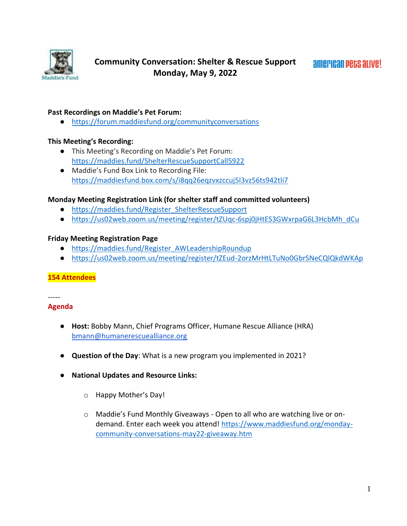

#### **Past Recordings on Maddie's Pet Forum:**

● <https://forum.maddiesfund.org/communityconversations>

### **This Meeting's Recording:**

- This Meeting's Recording on Maddie's Pet Forum: <https://maddies.fund/ShelterRescueSupportCall5922>
- Maddie's Fund Box Link to Recording File: <https://maddiesfund.box.com/s/i8qq26eqzvxzccuj5l3vz56ts942tli7>

### **Monday Meeting Registration Link (for shelter staff and committed volunteers)**

- [https://maddies.fund/Register\\_ShelterRescueSupport](https://maddies.fund/Register_ShelterRescueSupport)
- [https://us02web.zoom.us/meeting/register/tZUqc-6spj0jHtES3GWxrpaG6L3HcbMh\\_dCu](https://us02web.zoom.us/meeting/register/tZUqc-6spj0jHtES3GWxrpaG6L3HcbMh_dCu)

#### **Friday Meeting Registration Page**

- [https://maddies.fund/Register\\_AWLeadershipRoundup](https://maddies.fund/Register_AWLeadershipRoundup)
- <https://us02web.zoom.us/meeting/register/tZEud-2orzMrHtLTuNo0GbrSNeCQlQkdWKAp>

#### **154 Attendees**

-----

#### **Agenda**

- **Host:** Bobby Mann, Chief Programs Officer, Humane Rescue Alliance (HRA) [bmann@humanerescuealliance.org](mailto:bmann@humanerescuealliance.org)
- **Question of the Day**: What is a new program you implemented in 2021?
- **National Updates and Resource Links:**
	- o Happy Mother's Day!
	- o Maddie's Fund Monthly Giveaways Open to all who are watching live or ondemand. Enter each week you attend! [https://www.maddiesfund.org/monday](https://www.maddiesfund.org/monday-community-conversations-may22-giveaway.htm)[community-conversations-may22-giveaway.htm](https://www.maddiesfund.org/monday-community-conversations-may22-giveaway.htm)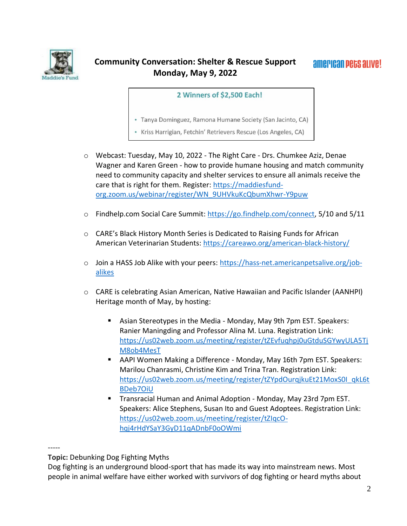

### 2 Winners of \$2,500 Each!

· Tanya Dominguez, Ramona Humane Society (San Jacinto, CA)

· Kriss Harrigian, Fetchin' Retrievers Rescue (Los Angeles, CA)

- o Webcast: Tuesday, May 10, 2022 The Right Care Drs. Chumkee Aziz, Denae Wagner and Karen Green - how to provide humane housing and match community need to community capacity and shelter services to ensure all animals receive the care that is right for them. Register[: https://maddiesfund](https://maddiesfund-org.zoom.us/webinar/register/WN_9UHVkuKcQbumXhwr-Y9puw)[org.zoom.us/webinar/register/WN\\_9UHVkuKcQbumXhwr-Y9puw](https://maddiesfund-org.zoom.us/webinar/register/WN_9UHVkuKcQbumXhwr-Y9puw)
- o Findhelp.com Social Care Summit: [https://go.findhelp.com/connect,](https://go.findhelp.com/connect) 5/10 and 5/11
- o CARE's Black History Month Series is Dedicated to Raising Funds for African American Veterinarian Students:<https://careawo.org/american-black-history/>
- o Join a HASS Job Alike with your peers: [https://hass-net.americanpetsalive.org/job](https://hass-net.americanpetsalive.org/job-alikes)[alikes](https://hass-net.americanpetsalive.org/job-alikes)
- o CARE is celebrating Asian American, Native Hawaiian and Pacific Islander (AANHPI) Heritage month of May, by hosting:
	- Asian Stereotypes in the Media Monday, May 9th 7pm EST. Speakers: Ranier Maningding and Professor Alina M. Luna. Registration Link: [https://us02web.zoom.us/meeting/register/tZEvfuqhpj0uGtduSGYwyULA5Tj](https://us02web.zoom.us/meeting/register/tZEvfuqhpj0uGtduSGYwyULA5TjM8ob4MesT) [M8ob4MesT](https://us02web.zoom.us/meeting/register/tZEvfuqhpj0uGtduSGYwyULA5TjM8ob4MesT)
	- AAPI Women Making a Difference Monday, May 16th 7pm EST. Speakers: Marilou Chanrasmi, Christine Kim and Trina Tran. Registration Link: [https://us02web.zoom.us/meeting/register/tZYpdOurqjkuEt21MoxS0I\\_qkL6t](https://us02web.zoom.us/meeting/register/tZYpdOurqjkuEt21MoxS0I_qkL6tBDeb7OiU) [BDeb7OiU](https://us02web.zoom.us/meeting/register/tZYpdOurqjkuEt21MoxS0I_qkL6tBDeb7OiU)
	- **E** Transracial Human and Animal Adoption Monday, May 23rd 7pm EST. Speakers: Alice Stephens, Susan Ito and Guest Adoptees. Registration Link: [https://us02web.zoom.us/meeting/register/tZIqcO](https://us02web.zoom.us/meeting/register/tZIqcO-hqj4rHdYSaY3GyD11qADnbF0oOWmi)[hqj4rHdYSaY3GyD11qADnbF0oOWmi](https://us02web.zoom.us/meeting/register/tZIqcO-hqj4rHdYSaY3GyD11qADnbF0oOWmi)

-----

**Topic:** Debunking Dog Fighting Myths

Dog fighting is an underground blood-sport that has made its way into mainstream news. Most people in animal welfare have either worked with survivors of dog fighting or heard myths about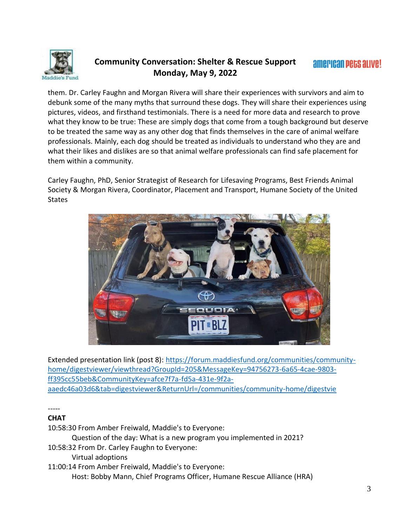

them. Dr. Carley Faughn and Morgan Rivera will share their experiences with survivors and aim to debunk some of the many myths that surround these dogs. They will share their experiences using pictures, videos, and firsthand testimonials. There is a need for more data and research to prove what they know to be true: These are simply dogs that come from a tough background but deserve to be treated the same way as any other dog that finds themselves in the care of animal welfare professionals. Mainly, each dog should be treated as individuals to understand who they are and what their likes and dislikes are so that animal welfare professionals can find safe placement for them within a community.

Carley Faughn, PhD, Senior Strategist of Research for Lifesaving Programs, Best Friends Animal Society & Morgan Rivera, Coordinator, Placement and Transport, Humane Society of the United States



Extended presentation link (post 8): [https://forum.maddiesfund.org/communities/community](https://forum.maddiesfund.org/communities/community-home/digestviewer/viewthread?GroupId=205&MessageKey=94756273-6a65-4cae-9803-ff395cc55beb&CommunityKey=afce7f7a-fd5a-431e-9f2a-aaedc46a03d6&tab=digestviewer&ReturnUrl=/communities/community-home/digestviewer%3FCommunityKey%3Dafce7f7a-fd5a-431e-9f2a-aaedc46a03d6&utm_campaign=jobalike)[home/digestviewer/viewthread?GroupId=205&MessageKey=94756273-6a65-4cae-9803](https://forum.maddiesfund.org/communities/community-home/digestviewer/viewthread?GroupId=205&MessageKey=94756273-6a65-4cae-9803-ff395cc55beb&CommunityKey=afce7f7a-fd5a-431e-9f2a-aaedc46a03d6&tab=digestviewer&ReturnUrl=/communities/community-home/digestviewer%3FCommunityKey%3Dafce7f7a-fd5a-431e-9f2a-aaedc46a03d6&utm_campaign=jobalike) [ff395cc55beb&CommunityKey=afce7f7a-fd5a-431e-9f2a](https://forum.maddiesfund.org/communities/community-home/digestviewer/viewthread?GroupId=205&MessageKey=94756273-6a65-4cae-9803-ff395cc55beb&CommunityKey=afce7f7a-fd5a-431e-9f2a-aaedc46a03d6&tab=digestviewer&ReturnUrl=/communities/community-home/digestviewer%3FCommunityKey%3Dafce7f7a-fd5a-431e-9f2a-aaedc46a03d6&utm_campaign=jobalike)[aaedc46a03d6&tab=digestviewer&ReturnUrl=/communities/community-home/digestvie](https://forum.maddiesfund.org/communities/community-home/digestviewer/viewthread?GroupId=205&MessageKey=94756273-6a65-4cae-9803-ff395cc55beb&CommunityKey=afce7f7a-fd5a-431e-9f2a-aaedc46a03d6&tab=digestviewer&ReturnUrl=/communities/community-home/digestviewer%3FCommunityKey%3Dafce7f7a-fd5a-431e-9f2a-aaedc46a03d6&utm_campaign=jobalike)

-----

#### **CHAT**

10:58:30 From Amber Freiwald, Maddie's to Everyone:

Question of the day: What is a new program you implemented in 2021?

- 10:58:32 From Dr. Carley Faughn to Everyone:
	- Virtual adoptions

11:00:14 From Amber Freiwald, Maddie's to Everyone:

Host: Bobby Mann, Chief Programs Officer, Humane Rescue Alliance (HRA)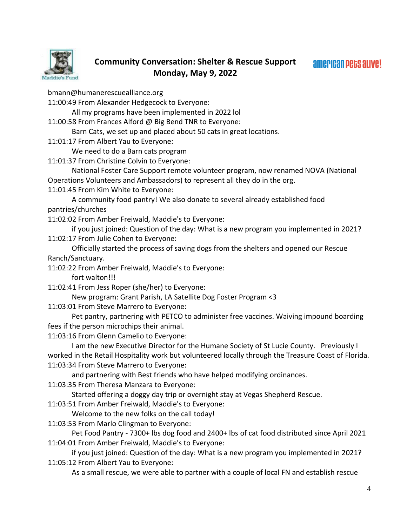

bmann@humanerescuealliance.org

11:00:49 From Alexander Hedgecock to Everyone:

All my programs have been implemented in 2022 lol

11:00:58 From Frances Alford @ Big Bend TNR to Everyone:

Barn Cats, we set up and placed about 50 cats in great locations.

11:01:17 From Albert Yau to Everyone:

We need to do a Barn cats program

11:01:37 From Christine Colvin to Everyone:

National Foster Care Support remote volunteer program, now renamed NOVA (National Operations Volunteers and Ambassadors) to represent all they do in the org.

11:01:45 From Kim White to Everyone:

A community food pantry! We also donate to several already established food pantries/churches

11:02:02 From Amber Freiwald, Maddie's to Everyone:

if you just joined: Question of the day: What is a new program you implemented in 2021? 11:02:17 From Julie Cohen to Everyone:

Officially started the process of saving dogs from the shelters and opened our Rescue Ranch/Sanctuary.

11:02:22 From Amber Freiwald, Maddie's to Everyone:

fort walton!!!

11:02:41 From Jess Roper (she/her) to Everyone:

New program: Grant Parish, LA Satellite Dog Foster Program <3

11:03:01 From Steve Marrero to Everyone:

Pet pantry, partnering with PETCO to administer free vaccines. Waiving impound boarding fees if the person microchips their animal.

11:03:16 From Glenn Camelio to Everyone:

I am the new Executive Director for the Humane Society of St Lucie County. Previously I worked in the Retail Hospitality work but volunteered locally through the Treasure Coast of Florida. 11:03:34 From Steve Marrero to Everyone:

and partnering with Best friends who have helped modifying ordinances.

11:03:35 From Theresa Manzara to Everyone:

Started offering a doggy day trip or overnight stay at Vegas Shepherd Rescue.

11:03:51 From Amber Freiwald, Maddie's to Everyone:

Welcome to the new folks on the call today!

11:03:53 From Marlo Clingman to Everyone:

Pet Food Pantry - 7300+ lbs dog food and 2400+ lbs of cat food distributed since April 2021 11:04:01 From Amber Freiwald, Maddie's to Everyone:

if you just joined: Question of the day: What is a new program you implemented in 2021? 11:05:12 From Albert Yau to Everyone:

As a small rescue, we were able to partner with a couple of local FN and establish rescue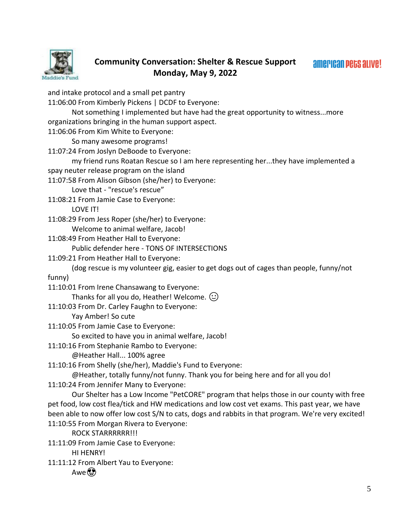



and intake protocol and a small pet pantry 11:06:00 From Kimberly Pickens | DCDF to Everyone: Not something I implemented but have had the great opportunity to witness...more organizations bringing in the human support aspect. 11:06:06 From Kim White to Everyone: So many awesome programs! 11:07:24 From Joslyn DeBoode to Everyone: my friend runs Roatan Rescue so I am here representing her...they have implemented a spay neuter release program on the island 11:07:58 From Alison Gibson (she/her) to Everyone: Love that - "rescue's rescue" 11:08:21 From Jamie Case to Everyone: LOVE IT! 11:08:29 From Jess Roper (she/her) to Everyone: Welcome to animal welfare, Jacob! 11:08:49 From Heather Hall to Everyone: Public defender here - TONS OF INTERSECTIONS 11:09:21 From Heather Hall to Everyone: (dog rescue is my volunteer gig, easier to get dogs out of cages than people, funny/not funny) 11:10:01 From Irene Chansawang to Everyone: Thanks for all you do, Heather! Welcome.  $(\cup)$ 11:10:03 From Dr. Carley Faughn to Everyone: Yay Amber! So cute 11:10:05 From Jamie Case to Everyone: So excited to have you in animal welfare, Jacob! 11:10:16 From Stephanie Rambo to Everyone: @Heather Hall... 100% agree 11:10:16 From Shelly (she/her), Maddie's Fund to Everyone: @Heather, totally funny/not funny. Thank you for being here and for all you do! 11:10:24 From Jennifer Many to Everyone: Our Shelter has a Low Income "PetCORE" program that helps those in our county with free pet food, low cost flea/tick and HW medications and low cost vet exams. This past year, we have been able to now offer low cost S/N to cats, dogs and rabbits in that program. We're very excited! 11:10:55 From Morgan Rivera to Everyone: ROCK STARRRRRR!!! 11:11:09 From Jamie Case to Everyone: HI HENRY! 11:11:12 From Albert Yau to Everyone: Awe $\bigcirc$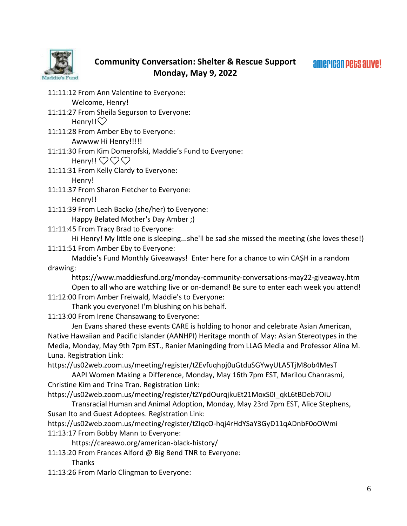

11:11:12 From Ann Valentine to Everyone:

Welcome, Henry!

11:11:27 From Sheila Segurson to Everyone:

Henry!!❤️

11:11:28 From Amber Eby to Everyone:

Awwww Hi Henry!!!!!

11:11:30 From Kim Domerofski, Maddie's Fund to Everyone:

Henry!!  $\heartsuit \heartsuit \heartsuit$ 

11:11:31 From Kelly Clardy to Everyone:

Henry!

11:11:37 From Sharon Fletcher to Everyone:

Henry!!

11:11:39 From Leah Backo (she/her) to Everyone:

Happy Belated Mother's Day Amber ;)

11:11:45 From Tracy Brad to Everyone:

Hi Henry! My little one is sleeping...she'll be sad she missed the meeting (she loves these!) 11:11:51 From Amber Eby to Everyone:

Maddie's Fund Monthly Giveaways! Enter here for a chance to win CA\$H in a random drawing:

https://www.maddiesfund.org/monday-community-conversations-may22-giveaway.htm Open to all who are watching live or on-demand! Be sure to enter each week you attend!

11:12:00 From Amber Freiwald, Maddie's to Everyone:

Thank you everyone! I'm blushing on his behalf.

11:13:00 From Irene Chansawang to Everyone:

Jen Evans shared these events CARE is holding to honor and celebrate Asian American, Native Hawaiian and Pacific Islander (AANHPI) Heritage month of May: Asian Stereotypes in the Media, Monday, May 9th 7pm EST., Ranier Maningding from LLAG Media and Professor Alina M. Luna. Registration Link:

https://us02web.zoom.us/meeting/register/tZEvfuqhpj0uGtduSGYwyULA5TjM8ob4MesT

AAPI Women Making a Difference, Monday, May 16th 7pm EST, Marilou Chanrasmi, Christine Kim and Trina Tran. Registration Link:

https://us02web.zoom.us/meeting/register/tZYpdOurqjkuEt21MoxS0I\_qkL6tBDeb7OiU

Transracial Human and Animal Adoption, Monday, May 23rd 7pm EST, Alice Stephens, Susan Ito and Guest Adoptees. Registration Link:

https://us02web.zoom.us/meeting/register/tZIqcO-hqj4rHdYSaY3GyD11qADnbF0oOWmi 11:13:17 From Bobby Mann to Everyone:

https://careawo.org/american-black-history/

11:13:20 From Frances Alford @ Big Bend TNR to Everyone:

Thanks

11:13:26 From Marlo Clingman to Everyone: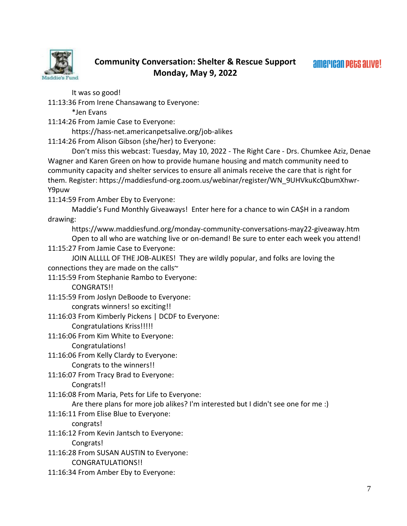

It was so good!

11:13:36 From Irene Chansawang to Everyone:

\*Jen Evans

11:14:26 From Jamie Case to Everyone:

https://hass-net.americanpetsalive.org/job-alikes

11:14:26 From Alison Gibson (she/her) to Everyone:

Don't miss this webcast: Tuesday, May 10, 2022 - The Right Care - Drs. Chumkee Aziz, Denae Wagner and Karen Green on how to provide humane housing and match community need to community capacity and shelter services to ensure all animals receive the care that is right for them. Register: https://maddiesfund-org.zoom.us/webinar/register/WN\_9UHVkuKcQbumXhwr-Y9puw

11:14:59 From Amber Eby to Everyone:

Maddie's Fund Monthly Giveaways! Enter here for a chance to win CA\$H in a random drawing:

https://www.maddiesfund.org/monday-community-conversations-may22-giveaway.htm Open to all who are watching live or on-demand! Be sure to enter each week you attend!

11:15:27 From Jamie Case to Everyone:

JOIN ALLLLL OF THE JOB-ALIKES! They are wildly popular, and folks are loving the connections they are made on the calls~

11:15:59 From Stephanie Rambo to Everyone:

CONGRATS!!

11:15:59 From Joslyn DeBoode to Everyone:

congrats winners! so exciting!!

11:16:03 From Kimberly Pickens | DCDF to Everyone:

Congratulations Kriss!!!!!

11:16:06 From Kim White to Everyone:

Congratulations!

11:16:06 From Kelly Clardy to Everyone:

Congrats to the winners!!

11:16:07 From Tracy Brad to Everyone:

Congrats!!

11:16:08 From Maria, Pets for Life to Everyone:

Are there plans for more job alikes? I'm interested but I didn't see one for me :)

### 11:16:11 From Elise Blue to Everyone:

congrats!

11:16:12 From Kevin Jantsch to Everyone:

Congrats!

11:16:28 From SUSAN AUSTIN to Everyone:

CONGRATULATIONS!!

11:16:34 From Amber Eby to Everyone: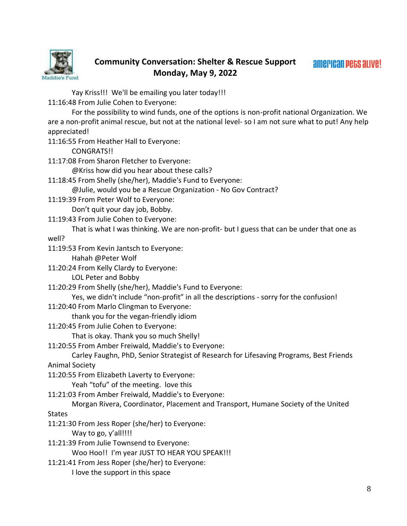

Yay Kriss!!! We'll be emailing you later today!!!

11:16:48 From Julie Cohen to Everyone:

For the possibility to wind funds, one of the options is non-profit national Organization. We are a non-profit animal rescue, but not at the national level- so I am not sure what to put! Any help appreciated!

11:16:55 From Heather Hall to Everyone:

**CONGRATS!!** 

11:17:08 From Sharon Fletcher to Everyone:

@Kriss how did you hear about these calls?

11:18:45 From Shelly (she/her), Maddie's Fund to Everyone:

@Julie, would you be a Rescue Organization - No Gov Contract?

11:19:39 From Peter Wolf to Everyone:

Don't quit your day job, Bobby.

11:19:43 From Julie Cohen to Everyone:

That is what I was thinking. We are non-profit- but I guess that can be under that one as

well?

11:19:53 From Kevin Jantsch to Everyone:

Hahah @Peter Wolf

11:20:24 From Kelly Clardy to Everyone:

LOL Peter and Bobby

11:20:29 From Shelly (she/her), Maddie's Fund to Everyone:

Yes, we didn't include "non-profit" in all the descriptions - sorry for the confusion!

11:20:40 From Marlo Clingman to Everyone:

thank you for the vegan-friendly idiom

11:20:45 From Julie Cohen to Everyone:

That is okay. Thank you so much Shelly!

11:20:55 From Amber Freiwald, Maddie's to Everyone:

Carley Faughn, PhD, Senior Strategist of Research for Lifesaving Programs, Best Friends Animal Society

11:20:55 From Elizabeth Laverty to Everyone:

Yeah "tofu" of the meeting. love this

11:21:03 From Amber Freiwald, Maddie's to Everyone:

Morgan Rivera, Coordinator, Placement and Transport, Humane Society of the United States

11:21:30 From Jess Roper (she/her) to Everyone:

Way to go, y'all!!!!

11:21:39 From Julie Townsend to Everyone:

Woo Hoo!! I'm year JUST TO HEAR YOU SPEAK!!!

11:21:41 From Jess Roper (she/her) to Everyone:

I love the support in this space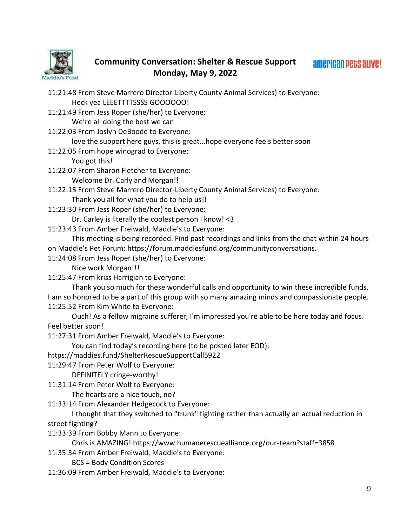

| 11:21:48 From Steve Marrero Director-Liberty County Animal Services) to Everyone:               |
|-------------------------------------------------------------------------------------------------|
| Heck yea LEEETTTTSSSS GOOOOOO!                                                                  |
| 11:21:49 From Jess Roper (she/her) to Everyone:                                                 |
| We're all doing the best we can                                                                 |
| 11:22:03 From Joslyn DeBoode to Everyone:                                                       |
| love the support here guys, this is greathope everyone feels better soon                        |
| 11:22:05 From hope winograd to Everyone:                                                        |
| You got this!                                                                                   |
| 11:22:07 From Sharon Fletcher to Everyone:                                                      |
| Welcome Dr. Carly and Morgan!!                                                                  |
| 11:22:15 From Steve Marrero Director-Liberty County Animal Services) to Everyone:               |
| Thank you all for what you do to help us!!                                                      |
| 11:23:30 From Jess Roper (she/her) to Everyone:                                                 |
| Dr. Carley is literally the coolest person I know! <3                                           |
| 11:23:43 From Amber Freiwald, Maddie's to Everyone:                                             |
| This meeting is being recorded. Find past recordings and links from the chat within 24 hours    |
| on Maddie's Pet Forum: https://forum.maddiesfund.org/communityconversations.                    |
| 11:24:08 From Jess Roper (she/her) to Everyone:                                                 |
| Nice work Morgan!!!                                                                             |
| 11:25:47 From kriss Harrigian to Everyone:                                                      |
| Thank you so much for these wonderful calls and opportunity to win these incredible funds.      |
| I am so honored to be a part of this group with so many amazing minds and compassionate people. |
| 11:25:52 From Kim White to Everyone:                                                            |
| Ouch! As a fellow migraine sufferer, I'm impressed you're able to be here today and focus.      |
| Feel better soon!                                                                               |
| 11:27:31 From Amber Freiwald, Maddie's to Everyone:                                             |
| You can find today's recording here (to be posted later EOD):                                   |
| https://maddies.fund/ShelterRescueSupportCall5922                                               |
| 11:29:47 From Peter Wolf to Everyone:                                                           |
| DEFINITELY cringe-worthy!                                                                       |
| 11:31:14 From Peter Wolf to Everyone:                                                           |
| The hearts are a nice touch, no?                                                                |
| 11:33:14 From Alexander Hedgecock to Everyone:                                                  |
| I thought that they switched to "trunk" fighting rather than actually an actual reduction in    |
| street fighting?                                                                                |
| 11:33:39 From Bobby Mann to Everyone:                                                           |
| Chris is AMAZING! https://www.humanerescuealliance.org/our-team?staff=3858                      |
| 11:35:34 From Amber Freiwald, Maddie's to Everyone:                                             |
| <b>BCS = Body Condition Scores</b>                                                              |

11:36:09 From Amber Freiwald, Maddie's to Everyone: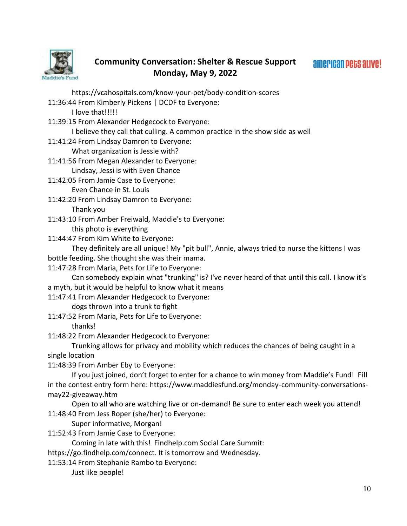

| ivionuay, iviay 9, 2022                                                                        |
|------------------------------------------------------------------------------------------------|
| https://vcahospitals.com/know-your-pet/body-condition-scores                                   |
| 11:36:44 From Kimberly Pickens   DCDF to Everyone:                                             |
|                                                                                                |
| 11:39:15 From Alexander Hedgecock to Everyone:                                                 |
| I believe they call that culling. A common practice in the show side as well                   |
| 11:41:24 From Lindsay Damron to Everyone:                                                      |
| What organization is Jessie with?                                                              |
| 11:41:56 From Megan Alexander to Everyone:                                                     |
| Lindsay, Jessi is with Even Chance                                                             |
| 11:42:05 From Jamie Case to Everyone:                                                          |
|                                                                                                |
| 11:42:20 From Lindsay Damron to Everyone:                                                      |
|                                                                                                |
| 11:43:10 From Amber Freiwald, Maddie's to Everyone:                                            |
|                                                                                                |
| 11:44:47 From Kim White to Everyone:                                                           |
| They definitely are all unique! My "pit bull", Annie, always tried to nurse the kittens I was  |
| bottle feeding. She thought she was their mama.                                                |
| 11:47:28 From Maria, Pets for Life to Everyone:                                                |
| Can somebody explain what "trunking" is? I've never heard of that until this call. I know it's |
| a myth, but it would be helpful to know what it means                                          |
| 11:47:41 From Alexander Hedgecock to Everyone:                                                 |
| dogs thrown into a trunk to fight                                                              |
| 11:47:52 From Maria, Pets for Life to Everyone:                                                |
|                                                                                                |
| 11:48:22 From Alexander Hedgecock to Everyone:                                                 |
| Trunking allows for privacy and mobility which reduces the chances of being caught in a        |
|                                                                                                |
| 11:48:39 From Amber Eby to Everyone:                                                           |
| If you just joined, don't forget to enter for a chance to win money from Maddie's Fund! Fill   |
| in the contest entry form here: https://www.maddiesfund.org/monday-community-conversations-    |
|                                                                                                |
| Open to all who are watching live or on-demand! Be sure to enter each week you attend!         |
| 11:48:40 From Jess Roper (she/her) to Everyone:                                                |
| Super informative, Morgan!                                                                     |
| 11:52:43 From Jamie Case to Everyone:                                                          |
| Coming in late with this! Findhelp.com Social Care Summit:                                     |
| https://go.findhelp.com/connect. It is tomorrow and Wednesday.                                 |
| 11:53:14 From Stephanie Rambo to Everyone:                                                     |
|                                                                                                |
|                                                                                                |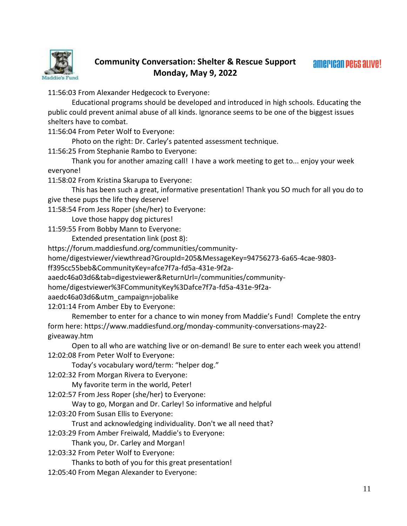

11:56:03 From Alexander Hedgecock to Everyone:

Educational programs should be developed and introduced in high schools. Educating the public could prevent animal abuse of all kinds. Ignorance seems to be one of the biggest issues shelters have to combat.

11:56:04 From Peter Wolf to Everyone:

Photo on the right: Dr. Carley's patented assessment technique.

11:56:25 From Stephanie Rambo to Everyone:

Thank you for another amazing call! I have a work meeting to get to... enjoy your week everyone!

11:58:02 From Kristina Skarupa to Everyone:

This has been such a great, informative presentation! Thank you SO much for all you do to give these pups the life they deserve!

11:58:54 From Jess Roper (she/her) to Everyone:

Love those happy dog pictures!

11:59:55 From Bobby Mann to Everyone:

Extended presentation link (post 8):

https://forum.maddiesfund.org/communities/community-

home/digestviewer/viewthread?GroupId=205&MessageKey=94756273-6a65-4cae-9803-

ff395cc55beb&CommunityKey=afce7f7a-fd5a-431e-9f2a-

aaedc46a03d6&tab=digestviewer&ReturnUrl=/communities/community-

home/digestviewer%3FCommunityKey%3Dafce7f7a-fd5a-431e-9f2a-

aaedc46a03d6&utm\_campaign=jobalike

12:01:14 From Amber Eby to Everyone:

Remember to enter for a chance to win money from Maddie's Fund! Complete the entry form here: https://www.maddiesfund.org/monday-community-conversations-may22 giveaway.htm

Open to all who are watching live or on-demand! Be sure to enter each week you attend! 12:02:08 From Peter Wolf to Everyone:

Today's vocabulary word/term: "helper dog."

12:02:32 From Morgan Rivera to Everyone:

My favorite term in the world, Peter!

12:02:57 From Jess Roper (she/her) to Everyone:

Way to go, Morgan and Dr. Carley! So informative and helpful

12:03:20 From Susan Ellis to Everyone:

Trust and acknowledging individuality. Don't we all need that?

12:03:29 From Amber Freiwald, Maddie's to Everyone:

Thank you, Dr. Carley and Morgan!

12:03:32 From Peter Wolf to Everyone:

Thanks to both of you for this great presentation!

12:05:40 From Megan Alexander to Everyone: